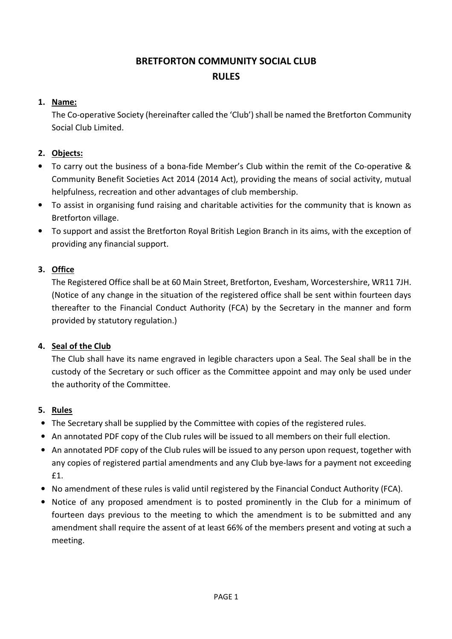# BRETFORTON COMMUNITY SOCIAL CLUB RULES

# 1. Name:

The Co-operative Society (hereinafter called the 'Club') shall be named the Bretforton Community Social Club Limited.

# 2. Objects:

- To carry out the business of a bona-fide Member's Club within the remit of the Co-operative & Community Benefit Societies Act 2014 (2014 Act), providing the means of social activity, mutual helpfulness, recreation and other advantages of club membership.
- To assist in organising fund raising and charitable activities for the community that is known as Bretforton village.
- To support and assist the Bretforton Royal British Legion Branch in its aims, with the exception of providing any financial support.

# 3. Office

The Registered Office shall be at 60 Main Street, Bretforton, Evesham, Worcestershire, WR11 7JH. (Notice of any change in the situation of the registered office shall be sent within fourteen days thereafter to the Financial Conduct Authority (FCA) by the Secretary in the manner and form provided by statutory regulation.)

# 4. Seal of the Club

The Club shall have its name engraved in legible characters upon a Seal. The Seal shall be in the custody of the Secretary or such officer as the Committee appoint and may only be used under the authority of the Committee.

# 5. Rules

- The Secretary shall be supplied by the Committee with copies of the registered rules.
- An annotated PDF copy of the Club rules will be issued to all members on their full election.
- An annotated PDF copy of the Club rules will be issued to any person upon request, together with any copies of registered partial amendments and any Club bye-laws for a payment not exceeding £1.
- No amendment of these rules is valid until registered by the Financial Conduct Authority (FCA).
- Notice of any proposed amendment is to posted prominently in the Club for a minimum of fourteen days previous to the meeting to which the amendment is to be submitted and any amendment shall require the assent of at least 66% of the members present and voting at such a meeting.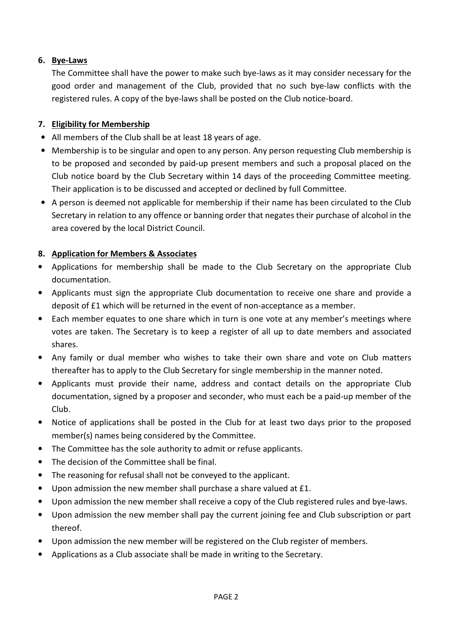# 6. Bye-Laws

The Committee shall have the power to make such bye-laws as it may consider necessary for the good order and management of the Club, provided that no such bye-law conflicts with the registered rules. A copy of the bye-laws shall be posted on the Club notice-board.

### 7. Eligibility for Membership

- All members of the Club shall be at least 18 years of age.
- Membership is to be singular and open to any person. Any person requesting Club membership is to be proposed and seconded by paid-up present members and such a proposal placed on the Club notice board by the Club Secretary within 14 days of the proceeding Committee meeting. Their application is to be discussed and accepted or declined by full Committee.
- A person is deemed not applicable for membership if their name has been circulated to the Club Secretary in relation to any offence or banning order that negates their purchase of alcohol in the area covered by the local District Council.

### 8. Application for Members & Associates

- Applications for membership shall be made to the Club Secretary on the appropriate Club documentation.
- Applicants must sign the appropriate Club documentation to receive one share and provide a deposit of £1 which will be returned in the event of non-acceptance as a member.
- Each member equates to one share which in turn is one vote at any member's meetings where votes are taken. The Secretary is to keep a register of all up to date members and associated shares.
- Any family or dual member who wishes to take their own share and vote on Club matters thereafter has to apply to the Club Secretary for single membership in the manner noted.
- Applicants must provide their name, address and contact details on the appropriate Club documentation, signed by a proposer and seconder, who must each be a paid-up member of the Club.
- Notice of applications shall be posted in the Club for at least two days prior to the proposed member(s) names being considered by the Committee.
- The Committee has the sole authority to admit or refuse applicants.
- The decision of the Committee shall be final.
- The reasoning for refusal shall not be conveyed to the applicant.
- Upon admission the new member shall purchase a share valued at £1.
- Upon admission the new member shall receive a copy of the Club registered rules and bye-laws.
- Upon admission the new member shall pay the current joining fee and Club subscription or part thereof.
- Upon admission the new member will be registered on the Club register of members.
- Applications as a Club associate shall be made in writing to the Secretary.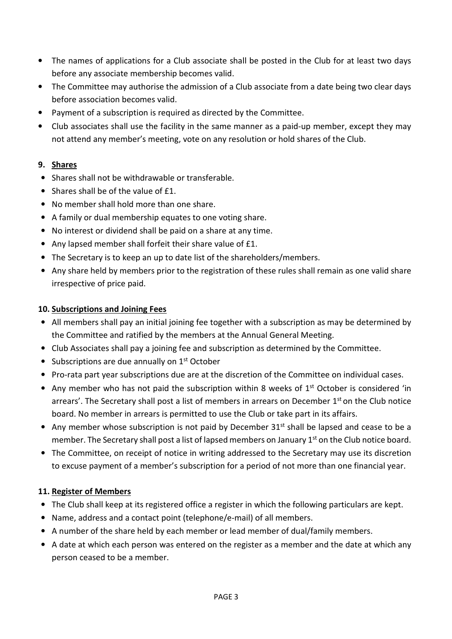- The names of applications for a Club associate shall be posted in the Club for at least two days before any associate membership becomes valid.
- The Committee may authorise the admission of a Club associate from a date being two clear days before association becomes valid.
- Payment of a subscription is required as directed by the Committee.
- Club associates shall use the facility in the same manner as a paid-up member, except they may not attend any member's meeting, vote on any resolution or hold shares of the Club.

### 9. Shares

- Shares shall not be withdrawable or transferable.
- Shares shall be of the value of £1.
- No member shall hold more than one share.
- A family or dual membership equates to one voting share.
- No interest or dividend shall be paid on a share at any time.
- Any lapsed member shall forfeit their share value of £1.
- The Secretary is to keep an up to date list of the shareholders/members.
- Any share held by members prior to the registration of these rules shall remain as one valid share irrespective of price paid.

#### 10. Subscriptions and Joining Fees

- All members shall pay an initial joining fee together with a subscription as may be determined by the Committee and ratified by the members at the Annual General Meeting.
- Club Associates shall pay a joining fee and subscription as determined by the Committee.
- Subscriptions are due annually on 1<sup>st</sup> October
- Pro-rata part year subscriptions due are at the discretion of the Committee on individual cases.
- Any member who has not paid the subscription within 8 weeks of  $1<sup>st</sup>$  October is considered 'in arrears'. The Secretary shall post a list of members in arrears on December  $1<sup>st</sup>$  on the Club notice board. No member in arrears is permitted to use the Club or take part in its affairs.
- Any member whose subscription is not paid by December 31<sup>st</sup> shall be lapsed and cease to be a member. The Secretary shall post a list of lapsed members on January 1<sup>st</sup> on the Club notice board.
- The Committee, on receipt of notice in writing addressed to the Secretary may use its discretion to excuse payment of a member's subscription for a period of not more than one financial year.

#### 11. Register of Members

- The Club shall keep at its registered office a register in which the following particulars are kept.
- Name, address and a contact point (telephone/e-mail) of all members.
- A number of the share held by each member or lead member of dual/family members.
- A date at which each person was entered on the register as a member and the date at which any person ceased to be a member.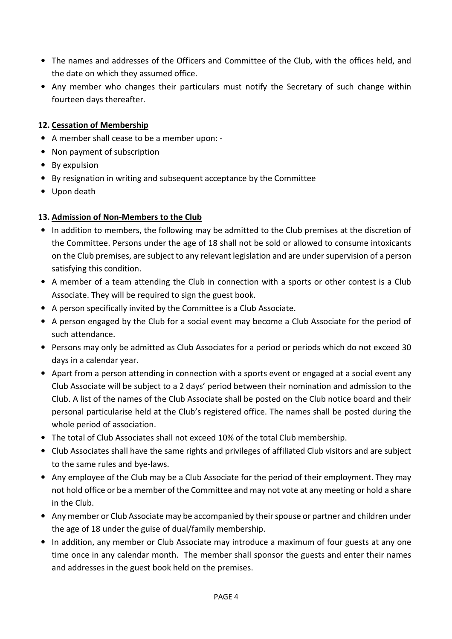- The names and addresses of the Officers and Committee of the Club, with the offices held, and the date on which they assumed office.
- Any member who changes their particulars must notify the Secretary of such change within fourteen days thereafter.

### 12. Cessation of Membership

- A member shall cease to be a member upon: -
- Non payment of subscription
- By expulsion
- By resignation in writing and subsequent acceptance by the Committee
- Upon death

### 13. Admission of Non-Members to the Club

- In addition to members, the following may be admitted to the Club premises at the discretion of the Committee. Persons under the age of 18 shall not be sold or allowed to consume intoxicants on the Club premises, are subject to any relevant legislation and are under supervision of a person satisfying this condition.
- A member of a team attending the Club in connection with a sports or other contest is a Club Associate. They will be required to sign the guest book.
- A person specifically invited by the Committee is a Club Associate.
- A person engaged by the Club for a social event may become a Club Associate for the period of such attendance.
- Persons may only be admitted as Club Associates for a period or periods which do not exceed 30 days in a calendar year.
- Apart from a person attending in connection with a sports event or engaged at a social event any Club Associate will be subject to a 2 days' period between their nomination and admission to the Club. A list of the names of the Club Associate shall be posted on the Club notice board and their personal particularise held at the Club's registered office. The names shall be posted during the whole period of association.
- The total of Club Associates shall not exceed 10% of the total Club membership.
- Club Associates shall have the same rights and privileges of affiliated Club visitors and are subject to the same rules and bye-laws.
- Any employee of the Club may be a Club Associate for the period of their employment. They may not hold office or be a member of the Committee and may not vote at any meeting or hold a share in the Club.
- Any member or Club Associate may be accompanied by their spouse or partner and children under the age of 18 under the guise of dual/family membership.
- In addition, any member or Club Associate may introduce a maximum of four guests at any one time once in any calendar month. The member shall sponsor the guests and enter their names and addresses in the guest book held on the premises.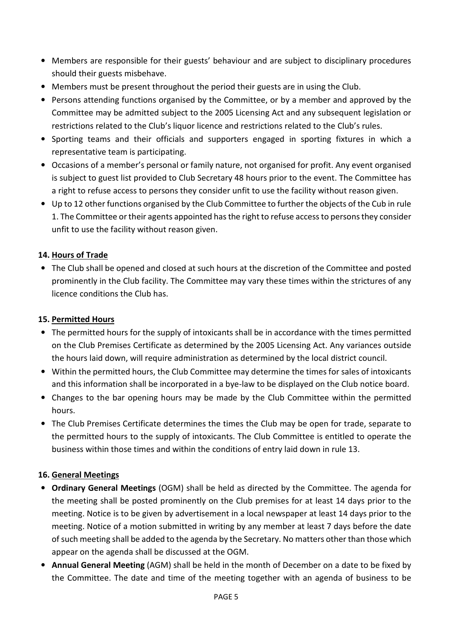- Members are responsible for their guests' behaviour and are subject to disciplinary procedures should their guests misbehave.
- Members must be present throughout the period their guests are in using the Club.
- Persons attending functions organised by the Committee, or by a member and approved by the Committee may be admitted subject to the 2005 Licensing Act and any subsequent legislation or restrictions related to the Club's liquor licence and restrictions related to the Club's rules.
- Sporting teams and their officials and supporters engaged in sporting fixtures in which a representative team is participating.
- Occasions of a member's personal or family nature, not organised for profit. Any event organised is subject to guest list provided to Club Secretary 48 hours prior to the event. The Committee has a right to refuse access to persons they consider unfit to use the facility without reason given.
- Up to 12 other functions organised by the Club Committee to further the objects of the Cub in rule 1. The Committee or their agents appointed has the right to refuse access to persons they consider unfit to use the facility without reason given.

# 14. Hours of Trade

• The Club shall be opened and closed at such hours at the discretion of the Committee and posted prominently in the Club facility. The Committee may vary these times within the strictures of any licence conditions the Club has.

### 15. Permitted Hours

- The permitted hours for the supply of intoxicants shall be in accordance with the times permitted on the Club Premises Certificate as determined by the 2005 Licensing Act. Any variances outside the hours laid down, will require administration as determined by the local district council.
- Within the permitted hours, the Club Committee may determine the times for sales of intoxicants and this information shall be incorporated in a bye-law to be displayed on the Club notice board.
- Changes to the bar opening hours may be made by the Club Committee within the permitted hours.
- The Club Premises Certificate determines the times the Club may be open for trade, separate to the permitted hours to the supply of intoxicants. The Club Committee is entitled to operate the business within those times and within the conditions of entry laid down in rule 13.

#### 16. General Meetings

- Ordinary General Meetings (OGM) shall be held as directed by the Committee. The agenda for the meeting shall be posted prominently on the Club premises for at least 14 days prior to the meeting. Notice is to be given by advertisement in a local newspaper at least 14 days prior to the meeting. Notice of a motion submitted in writing by any member at least 7 days before the date of such meeting shall be added to the agenda by the Secretary. No matters other than those which appear on the agenda shall be discussed at the OGM.
- Annual General Meeting (AGM) shall be held in the month of December on a date to be fixed by the Committee. The date and time of the meeting together with an agenda of business to be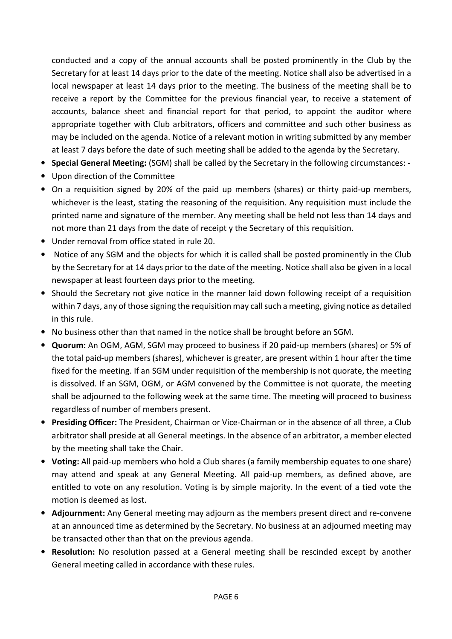conducted and a copy of the annual accounts shall be posted prominently in the Club by the Secretary for at least 14 days prior to the date of the meeting. Notice shall also be advertised in a local newspaper at least 14 days prior to the meeting. The business of the meeting shall be to receive a report by the Committee for the previous financial year, to receive a statement of accounts, balance sheet and financial report for that period, to appoint the auditor where appropriate together with Club arbitrators, officers and committee and such other business as may be included on the agenda. Notice of a relevant motion in writing submitted by any member at least 7 days before the date of such meeting shall be added to the agenda by the Secretary.

- Special General Meeting: (SGM) shall be called by the Secretary in the following circumstances: -
- Upon direction of the Committee
- On a requisition signed by 20% of the paid up members (shares) or thirty paid-up members, whichever is the least, stating the reasoning of the requisition. Any requisition must include the printed name and signature of the member. Any meeting shall be held not less than 14 days and not more than 21 days from the date of receipt y the Secretary of this requisition.
- Under removal from office stated in rule 20.
- Notice of any SGM and the objects for which it is called shall be posted prominently in the Club by the Secretary for at 14 days prior to the date of the meeting. Notice shall also be given in a local newspaper at least fourteen days prior to the meeting.
- Should the Secretary not give notice in the manner laid down following receipt of a requisition within 7 days, any of those signing the requisition may call such a meeting, giving notice as detailed in this rule.
- No business other than that named in the notice shall be brought before an SGM.
- Quorum: An OGM, AGM, SGM may proceed to business if 20 paid-up members (shares) or 5% of the total paid-up members (shares), whichever is greater, are present within 1 hour after the time fixed for the meeting. If an SGM under requisition of the membership is not quorate, the meeting is dissolved. If an SGM, OGM, or AGM convened by the Committee is not quorate, the meeting shall be adjourned to the following week at the same time. The meeting will proceed to business regardless of number of members present.
- Presiding Officer: The President, Chairman or Vice-Chairman or in the absence of all three, a Club arbitrator shall preside at all General meetings. In the absence of an arbitrator, a member elected by the meeting shall take the Chair.
- Voting: All paid-up members who hold a Club shares (a family membership equates to one share) may attend and speak at any General Meeting. All paid-up members, as defined above, are entitled to vote on any resolution. Voting is by simple majority. In the event of a tied vote the motion is deemed as lost.
- Adjournment: Any General meeting may adjourn as the members present direct and re-convene at an announced time as determined by the Secretary. No business at an adjourned meeting may be transacted other than that on the previous agenda.
- Resolution: No resolution passed at a General meeting shall be rescinded except by another General meeting called in accordance with these rules.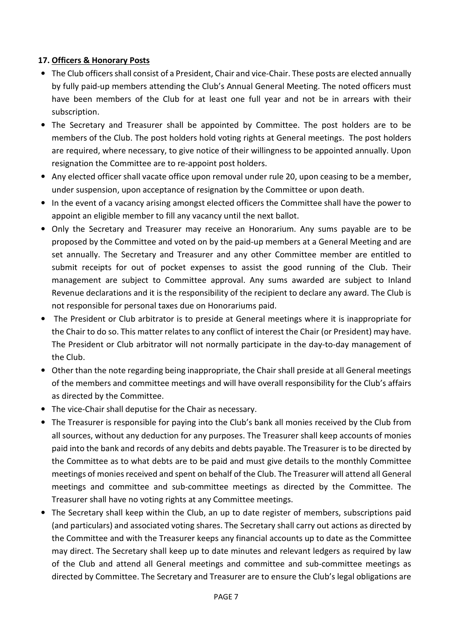### 17. Officers & Honorary Posts

- The Club officers shall consist of a President, Chair and vice-Chair. These posts are elected annually by fully paid-up members attending the Club's Annual General Meeting. The noted officers must have been members of the Club for at least one full year and not be in arrears with their subscription.
- The Secretary and Treasurer shall be appointed by Committee. The post holders are to be members of the Club. The post holders hold voting rights at General meetings. The post holders are required, where necessary, to give notice of their willingness to be appointed annually. Upon resignation the Committee are to re-appoint post holders.
- Any elected officer shall vacate office upon removal under rule 20, upon ceasing to be a member, under suspension, upon acceptance of resignation by the Committee or upon death.
- In the event of a vacancy arising amongst elected officers the Committee shall have the power to appoint an eligible member to fill any vacancy until the next ballot.
- Only the Secretary and Treasurer may receive an Honorarium. Any sums payable are to be proposed by the Committee and voted on by the paid-up members at a General Meeting and are set annually. The Secretary and Treasurer and any other Committee member are entitled to submit receipts for out of pocket expenses to assist the good running of the Club. Their management are subject to Committee approval. Any sums awarded are subject to Inland Revenue declarations and it is the responsibility of the recipient to declare any award. The Club is not responsible for personal taxes due on Honorariums paid.
- The President or Club arbitrator is to preside at General meetings where it is inappropriate for the Chair to do so. This matter relates to any conflict of interest the Chair (or President) may have. The President or Club arbitrator will not normally participate in the day-to-day management of the Club.
- Other than the note regarding being inappropriate, the Chair shall preside at all General meetings of the members and committee meetings and will have overall responsibility for the Club's affairs as directed by the Committee.
- The vice-Chair shall deputise for the Chair as necessary.
- The Treasurer is responsible for paying into the Club's bank all monies received by the Club from all sources, without any deduction for any purposes. The Treasurer shall keep accounts of monies paid into the bank and records of any debits and debts payable. The Treasurer is to be directed by the Committee as to what debts are to be paid and must give details to the monthly Committee meetings of monies received and spent on behalf of the Club. The Treasurer will attend all General meetings and committee and sub-committee meetings as directed by the Committee. The Treasurer shall have no voting rights at any Committee meetings.
- The Secretary shall keep within the Club, an up to date register of members, subscriptions paid (and particulars) and associated voting shares. The Secretary shall carry out actions as directed by the Committee and with the Treasurer keeps any financial accounts up to date as the Committee may direct. The Secretary shall keep up to date minutes and relevant ledgers as required by law of the Club and attend all General meetings and committee and sub-committee meetings as directed by Committee. The Secretary and Treasurer are to ensure the Club's legal obligations are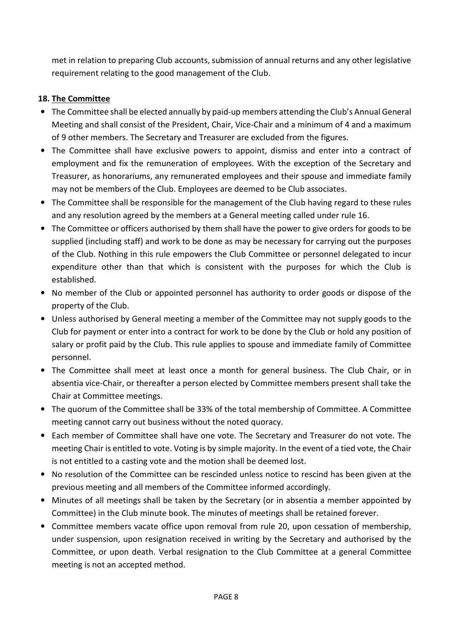met in relation to preparing Club accounts, submission of annual returns and any other legislative requirement relating to the good management of the Club.

### 18. The Committee

- The Committee shall be elected annually by paid-up members attending the Club's Annual General Meeting and shall consist of the President, Chair, Vice-Chair and a minimum of 4 and a maximum of 9 other members. The Secretary and Treasurer are excluded from the figures.
- The Committee shall have exclusive powers to appoint, dismiss and enter into a contract of employment and fix the remuneration of employees. With the exception of the Secretary and Treasurer, as honorariums, any remunerated employees and their spouse and immediate family may not be members of the Club. Employees are deemed to be Club associates.
- The Committee shall be responsible for the management of the Club having regard to these rules and any resolution agreed by the members at a General meeting called under rule 16.
- The Committee or officers authorised by them shall have the power to give orders for goods to be supplied (including staff) and work to be done as may be necessary for carrying out the purposes of the Club. Nothing in this rule empowers the Club Committee or personnel delegated to incur expenditure other than that which is consistent with the purposes for which the Club is established.
- No member of the Club or appointed personnel has authority to order goods or dispose of the property of the Club.
- Unless authorised by General meeting a member of the Committee may not supply goods to the Club for payment or enter into a contract for work to be done by the Club or hold any position of salary or profit paid by the Club. This rule applies to spouse and immediate family of Committee personnel.
- The Committee shall meet at least once a month for general business. The Club Chair, or in absentia vice-Chair, or thereafter a person elected by Committee members present shall take the Chair at Committee meetings.
- The quorum of the Committee shall be 33% of the total membership of Committee. A Committee meeting cannot carry out business without the noted quoracy.
- Each member of Committee shall have one vote. The Secretary and Treasurer do not vote. The meeting Chair is entitled to vote. Voting is by simple majority. In the event of a tied vote, the Chair is not entitled to a casting vote and the motion shall be deemed lost.
- No resolution of the Committee can be rescinded unless notice to rescind has been given at the previous meeting and all members of the Committee informed accordingly.
- Minutes of all meetings shall be taken by the Secretary (or in absentia a member appointed by Committee) in the Club minute book. The minutes of meetings shall be retained forever.
- Committee members vacate office upon removal from rule 20, upon cessation of membership, under suspension, upon resignation received in writing by the Secretary and authorised by the Committee, or upon death. Verbal resignation to the Club Committee at a general Committee meeting is not an accepted method.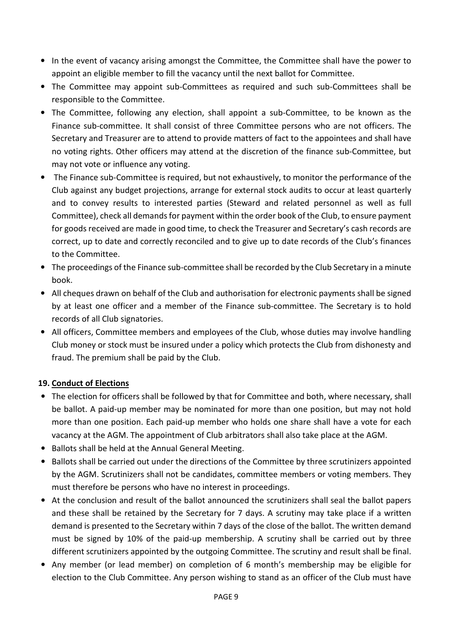- In the event of vacancy arising amongst the Committee, the Committee shall have the power to appoint an eligible member to fill the vacancy until the next ballot for Committee.
- The Committee may appoint sub-Committees as required and such sub-Committees shall be responsible to the Committee.
- The Committee, following any election, shall appoint a sub-Committee, to be known as the Finance sub-committee. It shall consist of three Committee persons who are not officers. The Secretary and Treasurer are to attend to provide matters of fact to the appointees and shall have no voting rights. Other officers may attend at the discretion of the finance sub-Committee, but may not vote or influence any voting.
- The Finance sub-Committee is required, but not exhaustively, to monitor the performance of the Club against any budget projections, arrange for external stock audits to occur at least quarterly and to convey results to interested parties (Steward and related personnel as well as full Committee), check all demands for payment within the order book of the Club, to ensure payment for goods received are made in good time, to check the Treasurer and Secretary's cash records are correct, up to date and correctly reconciled and to give up to date records of the Club's finances to the Committee.
- The proceedings of the Finance sub-committee shall be recorded by the Club Secretary in a minute book.
- All cheques drawn on behalf of the Club and authorisation for electronic payments shall be signed by at least one officer and a member of the Finance sub-committee. The Secretary is to hold records of all Club signatories.
- All officers, Committee members and employees of the Club, whose duties may involve handling Club money or stock must be insured under a policy which protects the Club from dishonesty and fraud. The premium shall be paid by the Club.

# 19. Conduct of Elections

- The election for officers shall be followed by that for Committee and both, where necessary, shall be ballot. A paid-up member may be nominated for more than one position, but may not hold more than one position. Each paid-up member who holds one share shall have a vote for each vacancy at the AGM. The appointment of Club arbitrators shall also take place at the AGM.
- Ballots shall be held at the Annual General Meeting.
- Ballots shall be carried out under the directions of the Committee by three scrutinizers appointed by the AGM. Scrutinizers shall not be candidates, committee members or voting members. They must therefore be persons who have no interest in proceedings.
- At the conclusion and result of the ballot announced the scrutinizers shall seal the ballot papers and these shall be retained by the Secretary for 7 days. A scrutiny may take place if a written demand is presented to the Secretary within 7 days of the close of the ballot. The written demand must be signed by 10% of the paid-up membership. A scrutiny shall be carried out by three different scrutinizers appointed by the outgoing Committee. The scrutiny and result shall be final.
- Any member (or lead member) on completion of 6 month's membership may be eligible for election to the Club Committee. Any person wishing to stand as an officer of the Club must have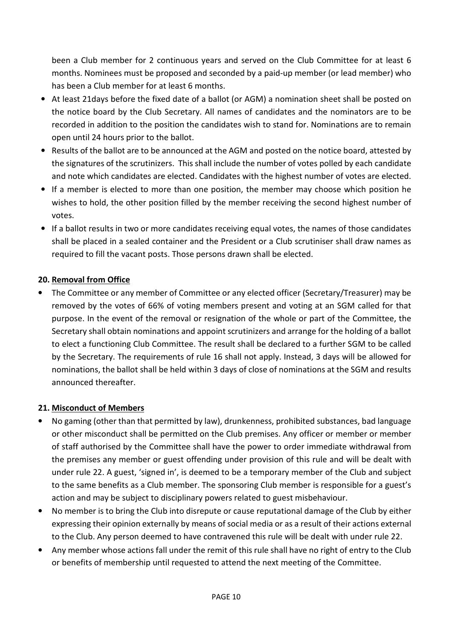been a Club member for 2 continuous years and served on the Club Committee for at least 6 months. Nominees must be proposed and seconded by a paid-up member (or lead member) who has been a Club member for at least 6 months.

- At least 21days before the fixed date of a ballot (or AGM) a nomination sheet shall be posted on the notice board by the Club Secretary. All names of candidates and the nominators are to be recorded in addition to the position the candidates wish to stand for. Nominations are to remain open until 24 hours prior to the ballot.
- Results of the ballot are to be announced at the AGM and posted on the notice board, attested by the signatures of the scrutinizers. This shall include the number of votes polled by each candidate and note which candidates are elected. Candidates with the highest number of votes are elected.
- If a member is elected to more than one position, the member may choose which position he wishes to hold, the other position filled by the member receiving the second highest number of votes.
- If a ballot results in two or more candidates receiving equal votes, the names of those candidates shall be placed in a sealed container and the President or a Club scrutiniser shall draw names as required to fill the vacant posts. Those persons drawn shall be elected.

# 20. Removal from Office

• The Committee or any member of Committee or any elected officer (Secretary/Treasurer) may be removed by the votes of 66% of voting members present and voting at an SGM called for that purpose. In the event of the removal or resignation of the whole or part of the Committee, the Secretary shall obtain nominations and appoint scrutinizers and arrange for the holding of a ballot to elect a functioning Club Committee. The result shall be declared to a further SGM to be called by the Secretary. The requirements of rule 16 shall not apply. Instead, 3 days will be allowed for nominations, the ballot shall be held within 3 days of close of nominations at the SGM and results announced thereafter.

# 21. Misconduct of Members

- No gaming (other than that permitted by law), drunkenness, prohibited substances, bad language or other misconduct shall be permitted on the Club premises. Any officer or member or member of staff authorised by the Committee shall have the power to order immediate withdrawal from the premises any member or guest offending under provision of this rule and will be dealt with under rule 22. A guest, 'signed in', is deemed to be a temporary member of the Club and subject to the same benefits as a Club member. The sponsoring Club member is responsible for a guest's action and may be subject to disciplinary powers related to guest misbehaviour.
- No member is to bring the Club into disrepute or cause reputational damage of the Club by either expressing their opinion externally by means of social media or as a result of their actions external to the Club. Any person deemed to have contravened this rule will be dealt with under rule 22.
- Any member whose actions fall under the remit of this rule shall have no right of entry to the Club or benefits of membership until requested to attend the next meeting of the Committee.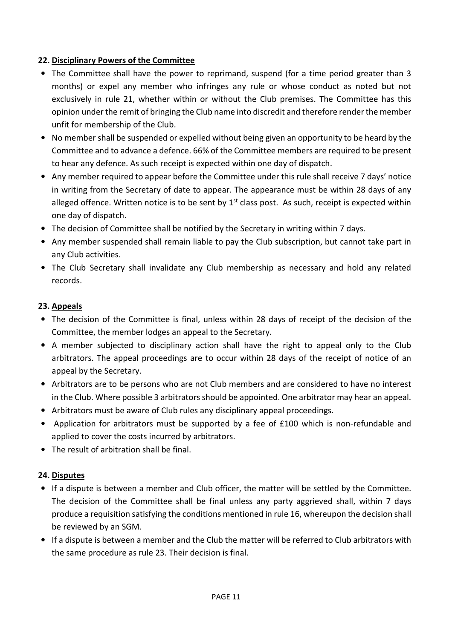### 22. Disciplinary Powers of the Committee

- The Committee shall have the power to reprimand, suspend (for a time period greater than 3 months) or expel any member who infringes any rule or whose conduct as noted but not exclusively in rule 21, whether within or without the Club premises. The Committee has this opinion under the remit of bringing the Club name into discredit and therefore render the member unfit for membership of the Club.
- No member shall be suspended or expelled without being given an opportunity to be heard by the Committee and to advance a defence. 66% of the Committee members are required to be present to hear any defence. As such receipt is expected within one day of dispatch.
- Any member required to appear before the Committee under this rule shall receive 7 days' notice in writing from the Secretary of date to appear. The appearance must be within 28 days of any alleged offence. Written notice is to be sent by  $1<sup>st</sup>$  class post. As such, receipt is expected within one day of dispatch.
- The decision of Committee shall be notified by the Secretary in writing within 7 days.
- Any member suspended shall remain liable to pay the Club subscription, but cannot take part in any Club activities.
- The Club Secretary shall invalidate any Club membership as necessary and hold any related records.

#### 23. Appeals

- The decision of the Committee is final, unless within 28 days of receipt of the decision of the Committee, the member lodges an appeal to the Secretary.
- A member subjected to disciplinary action shall have the right to appeal only to the Club arbitrators. The appeal proceedings are to occur within 28 days of the receipt of notice of an appeal by the Secretary.
- Arbitrators are to be persons who are not Club members and are considered to have no interest in the Club. Where possible 3 arbitrators should be appointed. One arbitrator may hear an appeal.
- Arbitrators must be aware of Club rules any disciplinary appeal proceedings.
- Application for arbitrators must be supported by a fee of £100 which is non-refundable and applied to cover the costs incurred by arbitrators.
- The result of arbitration shall be final.

#### 24. Disputes

- If a dispute is between a member and Club officer, the matter will be settled by the Committee. The decision of the Committee shall be final unless any party aggrieved shall, within 7 days produce a requisition satisfying the conditions mentioned in rule 16, whereupon the decision shall be reviewed by an SGM.
- If a dispute is between a member and the Club the matter will be referred to Club arbitrators with the same procedure as rule 23. Their decision is final.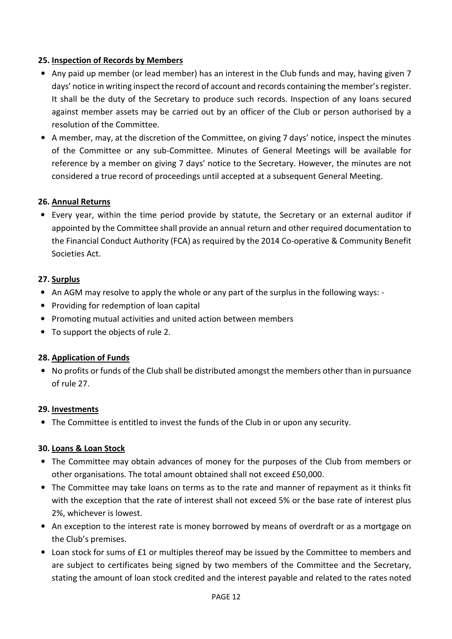### 25. Inspection of Records by Members

- Any paid up member (or lead member) has an interest in the Club funds and may, having given 7 days' notice in writing inspect the record of account and records containing the member's register. It shall be the duty of the Secretary to produce such records. Inspection of any loans secured against member assets may be carried out by an officer of the Club or person authorised by a resolution of the Committee.
- A member, may, at the discretion of the Committee, on giving 7 days' notice, inspect the minutes of the Committee or any sub-Committee. Minutes of General Meetings will be available for reference by a member on giving 7 days' notice to the Secretary. However, the minutes are not considered a true record of proceedings until accepted at a subsequent General Meeting.

### 26. Annual Returns

• Every year, within the time period provide by statute, the Secretary or an external auditor if appointed by the Committee shall provide an annual return and other required documentation to the Financial Conduct Authority (FCA) as required by the 2014 Co-operative & Community Benefit Societies Act.

#### 27. Surplus

- An AGM may resolve to apply the whole or any part of the surplus in the following ways: -
- Providing for redemption of loan capital
- Promoting mutual activities and united action between members
- To support the objects of rule 2.

#### 28. Application of Funds

• No profits or funds of the Club shall be distributed amongst the members other than in pursuance of rule 27.

#### 29. Investments

• The Committee is entitled to invest the funds of the Club in or upon any security.

#### 30. Loans & Loan Stock

- The Committee may obtain advances of money for the purposes of the Club from members or other organisations. The total amount obtained shall not exceed £50,000.
- The Committee may take loans on terms as to the rate and manner of repayment as it thinks fit with the exception that the rate of interest shall not exceed 5% or the base rate of interest plus 2%, whichever is lowest.
- An exception to the interest rate is money borrowed by means of overdraft or as a mortgage on the Club's premises.
- Loan stock for sums of £1 or multiples thereof may be issued by the Committee to members and are subject to certificates being signed by two members of the Committee and the Secretary, stating the amount of loan stock credited and the interest payable and related to the rates noted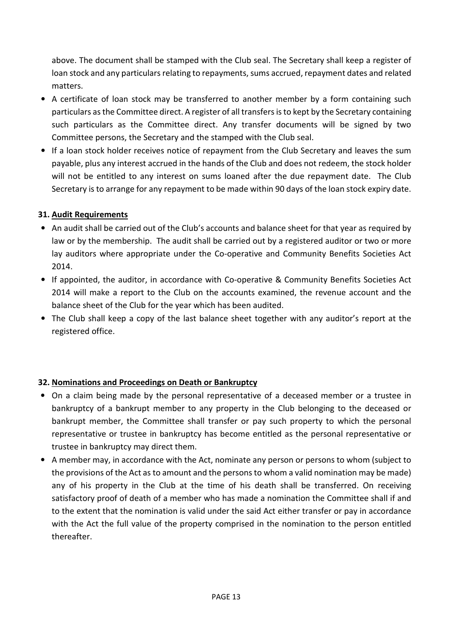above. The document shall be stamped with the Club seal. The Secretary shall keep a register of loan stock and any particulars relating to repayments, sums accrued, repayment dates and related matters.

- A certificate of loan stock may be transferred to another member by a form containing such particulars as the Committee direct. A register of all transfers is to kept by the Secretary containing such particulars as the Committee direct. Any transfer documents will be signed by two Committee persons, the Secretary and the stamped with the Club seal.
- If a loan stock holder receives notice of repayment from the Club Secretary and leaves the sum payable, plus any interest accrued in the hands of the Club and does not redeem, the stock holder will not be entitled to any interest on sums loaned after the due repayment date. The Club Secretary is to arrange for any repayment to be made within 90 days of the loan stock expiry date.

# 31. Audit Requirements

- An audit shall be carried out of the Club's accounts and balance sheet for that year as required by law or by the membership. The audit shall be carried out by a registered auditor or two or more lay auditors where appropriate under the Co-operative and Community Benefits Societies Act 2014.
- If appointed, the auditor, in accordance with Co-operative & Community Benefits Societies Act 2014 will make a report to the Club on the accounts examined, the revenue account and the balance sheet of the Club for the year which has been audited.
- The Club shall keep a copy of the last balance sheet together with any auditor's report at the registered office.

# 32. Nominations and Proceedings on Death or Bankruptcy

- On a claim being made by the personal representative of a deceased member or a trustee in bankruptcy of a bankrupt member to any property in the Club belonging to the deceased or bankrupt member, the Committee shall transfer or pay such property to which the personal representative or trustee in bankruptcy has become entitled as the personal representative or trustee in bankruptcy may direct them.
- A member may, in accordance with the Act, nominate any person or persons to whom (subject to the provisions of the Act as to amount and the persons to whom a valid nomination may be made) any of his property in the Club at the time of his death shall be transferred. On receiving satisfactory proof of death of a member who has made a nomination the Committee shall if and to the extent that the nomination is valid under the said Act either transfer or pay in accordance with the Act the full value of the property comprised in the nomination to the person entitled thereafter.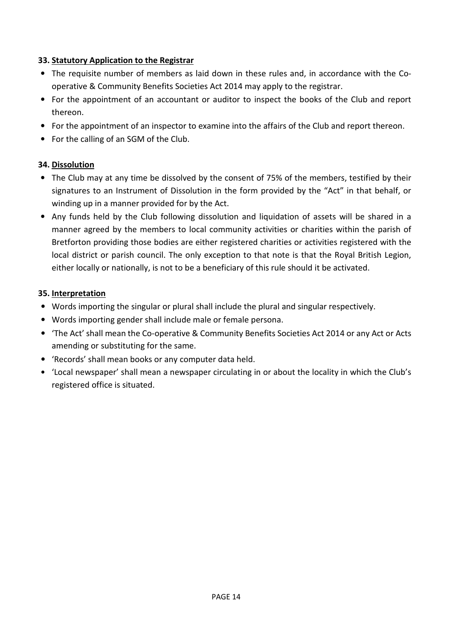### 33. Statutory Application to the Registrar

- The requisite number of members as laid down in these rules and, in accordance with the Cooperative & Community Benefits Societies Act 2014 may apply to the registrar.
- For the appointment of an accountant or auditor to inspect the books of the Club and report thereon.
- For the appointment of an inspector to examine into the affairs of the Club and report thereon.
- For the calling of an SGM of the Club.

# 34. Dissolution

- The Club may at any time be dissolved by the consent of 75% of the members, testified by their signatures to an Instrument of Dissolution in the form provided by the "Act" in that behalf, or winding up in a manner provided for by the Act.
- Any funds held by the Club following dissolution and liquidation of assets will be shared in a manner agreed by the members to local community activities or charities within the parish of Bretforton providing those bodies are either registered charities or activities registered with the local district or parish council. The only exception to that note is that the Royal British Legion, either locally or nationally, is not to be a beneficiary of this rule should it be activated.

#### 35. Interpretation

- Words importing the singular or plural shall include the plural and singular respectively.
- Words importing gender shall include male or female persona.
- 'The Act' shall mean the Co-operative & Community Benefits Societies Act 2014 or any Act or Acts amending or substituting for the same.
- 'Records' shall mean books or any computer data held.
- 'Local newspaper' shall mean a newspaper circulating in or about the locality in which the Club's registered office is situated.